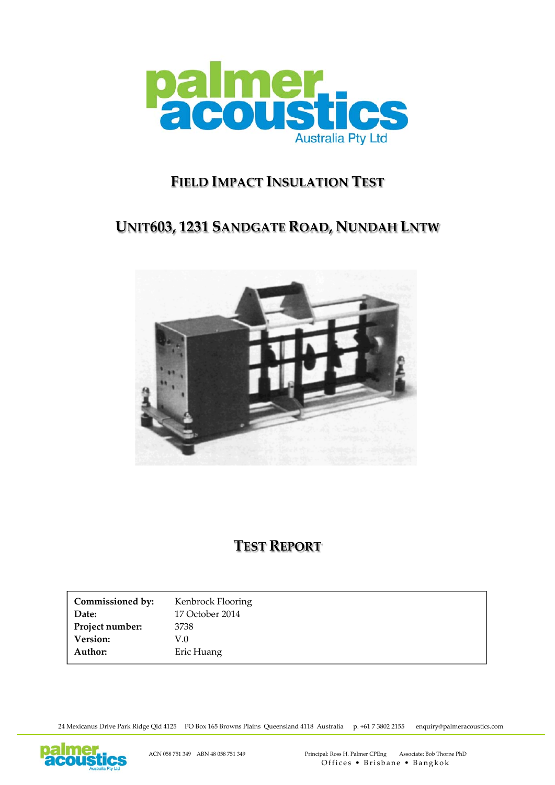

# **FIELD IMPACT INSULATION TEST**

# **UNIT603, 1231 SANDGATE ROAD, NUNDAH LNTW**



# **TEST REPORT**

| Commissioned by: | Kenbrock Flooring |
|------------------|-------------------|
| Date:            | 17 October 2014   |
| Project number:  | 3738              |
| <b>Version:</b>  | V.O               |
| Author:          | Eric Huang        |

24 Mexicanus Drive Park Ridge Qld 4125 PO Box 165 Browns Plains Queensland 4118 Australia p. +61 7 3802 2155 enquiry@palmeracoustics.com

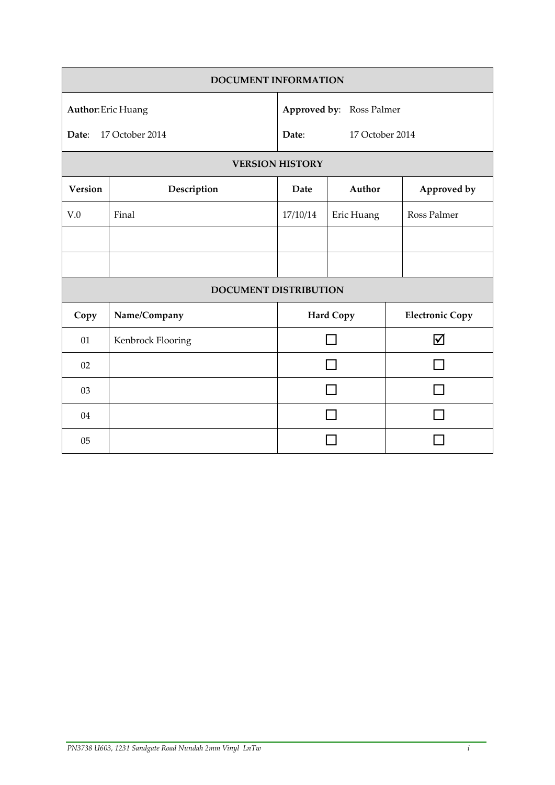| <b>DOCUMENT INFORMATION</b>                           |                              |                                                      |                  |  |                        |
|-------------------------------------------------------|------------------------------|------------------------------------------------------|------------------|--|------------------------|
| <b>Author: Eric Huang</b><br>17 October 2014<br>Date: |                              | Approved by: Ross Palmer<br>Date:<br>17 October 2014 |                  |  |                        |
|                                                       |                              | <b>VERSION HISTORY</b>                               |                  |  |                        |
| Version                                               | Description                  | Date                                                 | Author           |  | Approved by            |
| V.0                                                   | Final                        | 17/10/14                                             | Eric Huang       |  | Ross Palmer            |
|                                                       |                              |                                                      |                  |  |                        |
|                                                       |                              |                                                      |                  |  |                        |
|                                                       | <b>DOCUMENT DISTRIBUTION</b> |                                                      |                  |  |                        |
| Copy                                                  | Name/Company                 |                                                      | <b>Hard Copy</b> |  | <b>Electronic Copy</b> |
| 01                                                    | Kenbrock Flooring            |                                                      |                  |  | $\blacktriangledown$   |
| 02                                                    |                              |                                                      |                  |  |                        |
| 03                                                    |                              |                                                      |                  |  |                        |
| 04                                                    |                              |                                                      |                  |  |                        |
| 05                                                    |                              |                                                      |                  |  |                        |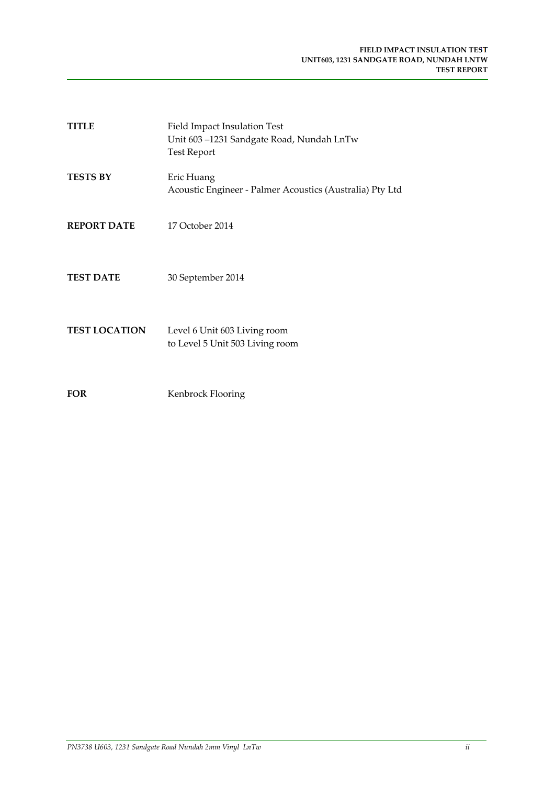| <b>TITLE</b>         | <b>Field Impact Insulation Test</b><br>Unit 603-1231 Sandgate Road, Nundah LnTw<br><b>Test Report</b> |
|----------------------|-------------------------------------------------------------------------------------------------------|
| <b>TESTS BY</b>      | Eric Huang<br>Acoustic Engineer - Palmer Acoustics (Australia) Pty Ltd                                |
| <b>REPORT DATE</b>   | 17 October 2014                                                                                       |
| <b>TEST DATE</b>     | 30 September 2014                                                                                     |
| <b>TEST LOCATION</b> | Level 6 Unit 603 Living room<br>to Level 5 Unit 503 Living room                                       |
| <b>FOR</b>           | Kenbrock Flooring                                                                                     |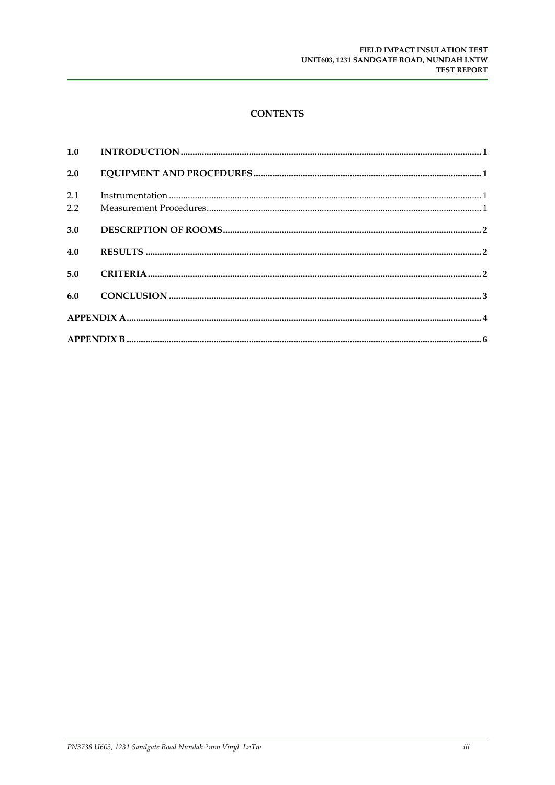# **CONTENTS**

| 2.0        |  |
|------------|--|
| 2.1<br>2.2 |  |
| 3.0        |  |
| 4.0        |  |
| 5.0        |  |
| 6.0        |  |
|            |  |
|            |  |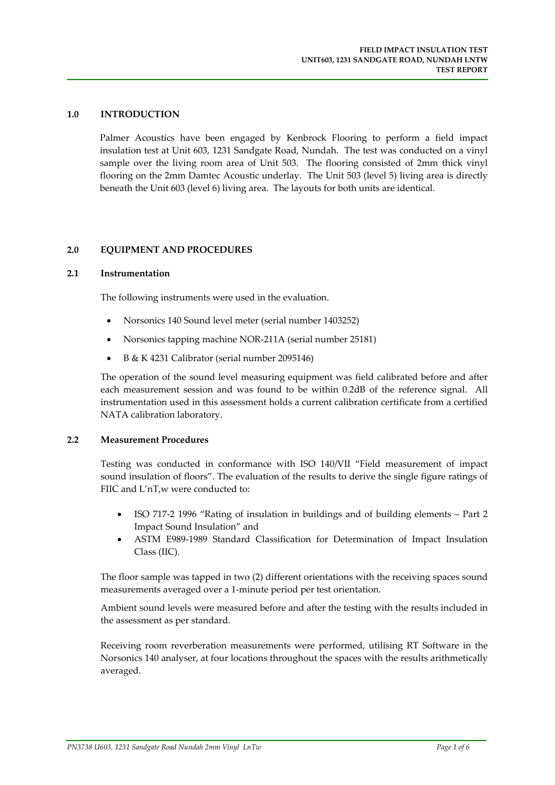## **1.0 INTRODUCTION**

Palmer Acoustics have been engaged by Kenbrock Flooring to perform a field impact insulation test at Unit 603, 1231 Sandgate Road, Nundah. The test was conducted on a vinyl sample over the living room area of Unit 503. The flooring consisted of 2mm thick vinyl flooring on the 2mm Damtec Acoustic underlay. The Unit 503 (level 5) living area is directly beneath the Unit 603 (level 6) living area. The layouts for both units are identical.

## **2.0 EQUIPMENT AND PROCEDURES**

### **2.1 Instrumentation**

The following instruments were used in the evaluation.

- Norsonics 140 Sound level meter (serial number 1403252)
- Norsonics tapping machine NOR-211A (serial number 25181)
- B & K 4231 Calibrator (serial number 2095146)

The operation of the sound level measuring equipment was field calibrated before and after each measurement session and was found to be within 0.2dB of the reference signal. All instrumentation used in this assessment holds a current calibration certificate from a certified NATA calibration laboratory.

#### **2.2 Measurement Procedures**

Testing was conducted in conformance with ISO 140/VII "Field measurement of impact sound insulation of floors". The evaluation of the results to derive the single figure ratings of FIIC and L'nT,w were conducted to:

- ISO 717‐2 1996 "Rating of insulation in buildings and of building elements Part 2 Impact Sound Insulation" and
- ASTM E989‐1989 Standard Classification for Determination of Impact Insulation Class (IIC).

The floor sample was tapped in two (2) different orientations with the receiving spaces sound measurements averaged over a 1‐minute period per test orientation.

Ambient sound levels were measured before and after the testing with the results included in the assessment as per standard.

Receiving room reverberation measurements were performed, utilising RT Software in the Norsonics 140 analyser, at four locations throughout the spaces with the results arithmetically averaged.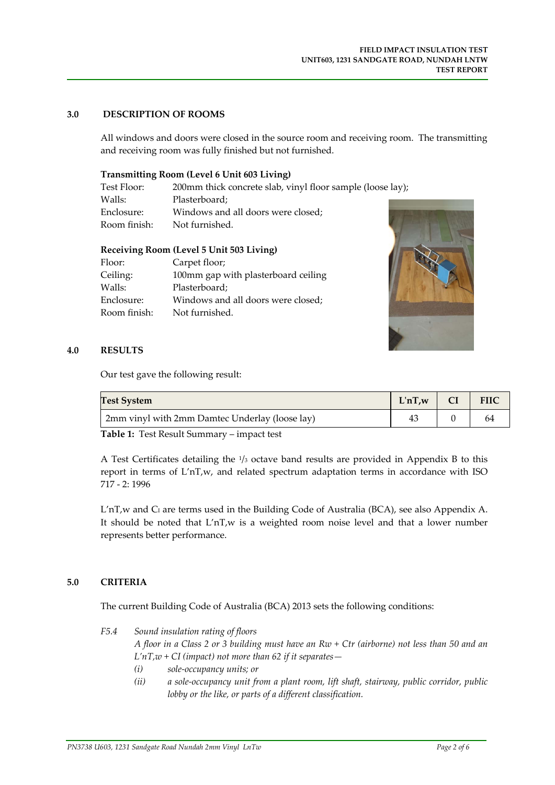# **3.0 DESCRIPTION OF ROOMS**

All windows and doors were closed in the source room and receiving room. The transmitting and receiving room was fully finished but not furnished.

### **Transmitting Room (Level 6 Unit 603 Living)**

| Test Floor:  | 200mm thick concrete slab, vinyl floor sample (loose lay); |  |
|--------------|------------------------------------------------------------|--|
| Walls:       | Plasterboard:                                              |  |
| Enclosure:   | Windows and all doors were closed;                         |  |
| Room finish: | Not furnished.                                             |  |

## **Receiving Room (Level 5 Unit 503 Living)**

| Floor:       | Carpet floor;                       |
|--------------|-------------------------------------|
| Ceiling:     | 100mm gap with plasterboard ceiling |
| Walls:       | Plasterboard;                       |
| Enclosure:   | Windows and all doors were closed;  |
| Room finish: | Not furnished.                      |



### **4.0 RESULTS**

Our test gave the following result:

| <b>Test System</b>                             | $L'nT,w$   $CI$ | FIIC |
|------------------------------------------------|-----------------|------|
| 2mm vinyl with 2mm Damtec Underlay (loose lay) |                 |      |

**Table 1:** Test Result Summary – impact test

A Test Certificates detailing the  $\frac{1}{3}$  octave band results are provided in Appendix B to this report in terms of L'nT,w, and related spectrum adaptation terms in accordance with ISO 717 ‐ 2: 1996

 $L'nT,w$  and  $C<sub>1</sub>$  are terms used in the Building Code of Australia (BCA), see also Appendix A. It should be noted that L'nT,w is a weighted room noise level and that a lower number represents better performance.

## **5.0 CRITERIA**

The current Building Code of Australia (BCA) 2013 sets the following conditions:

*F5.4 Sound insulation rating of floors* 

A floor in a Class 2 or 3 building must have an Rw + Ctr (airborne) not less than 50 and an *L'nT,w + CI (impact) not more than 62 if it separates—*

- *(i) sole‐occupancy units; or*
- *(ii) a sole‐occupancy unit from a plant room, lift shaft, stairway, public corridor, public lobby or the like, or parts of a different classification.*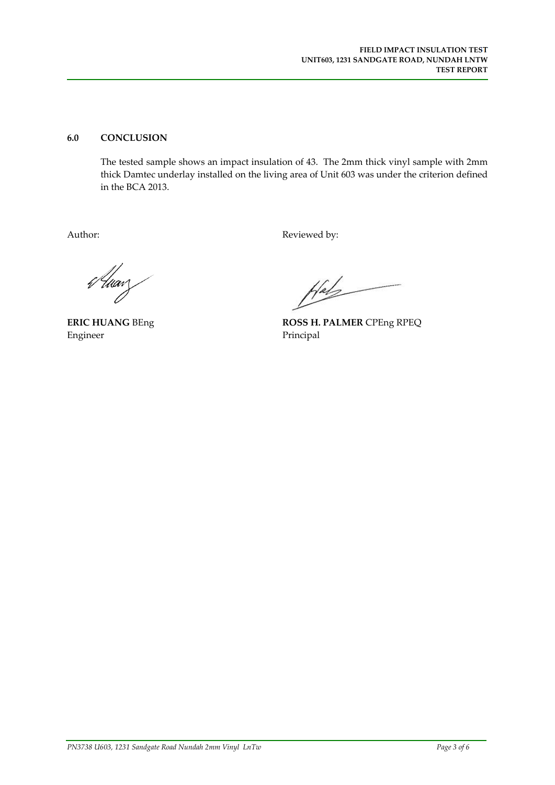# **6.0 CONCLUSION**

The tested sample shows an impact insulation of 43. The 2mm thick vinyl sample with 2mm thick Damtec underlay installed on the living area of Unit 603 was under the criterion defined in the BCA 2013.

Author: Reviewed by:

6 Uwarz

**ERIC HUANG** BEng Engineer

 $H^{ab}$ 

**ROSS H. PALMER** CPEng RPEQ Principal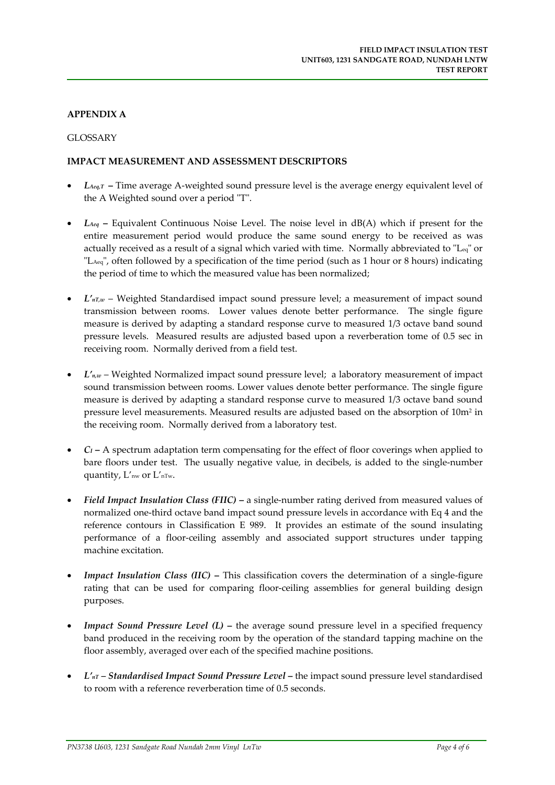# **APPENDIX A**

# GLOSSARY

# **IMPACT MEASUREMENT AND ASSESSMENT DESCRIPTORS**

- $L_{\text{deg}}$ <sup>T</sup> Time average A-weighted sound pressure level is the average energy equivalent level of the A Weighted sound over a period "T".
- *LAeq* **–** Equivalent Continuous Noise Level. The noise level in dB(A) which if present for the entire measurement period would produce the same sound energy to be received as was actually received as a result of a signal which varied with time. Normally abbreviated to  $L_{eq}$  or "L<sub>Aeq</sub>", often followed by a specification of the time period (such as 1 hour or 8 hours) indicating the period of time to which the measured value has been normalized;
- *L'nT,w* Weighted Standardised impact sound pressure level; a measurement of impact sound transmission between rooms. Lower values denote better performance. The single figure measure is derived by adapting a standard response curve to measured 1/3 octave band sound pressure levels. Measured results are adjusted based upon a reverberation tome of 0.5 sec in receiving room. Normally derived from a field test.
- *L'n,w* Weighted Normalized impact sound pressure level; a laboratory measurement of impact sound transmission between rooms. Lower values denote better performance. The single figure measure is derived by adapting a standard response curve to measured 1/3 octave band sound pressure level measurements. Measured results are adjusted based on the absorption of 10m2 in the receiving room. Normally derived from a laboratory test.
- *CI* **–** A spectrum adaptation term compensating for the effect of floor coverings when applied to bare floors under test. The usually negative value, in decibels, is added to the single-number quantity,  $L'_{nw}$  or  $L'_{nTw}$ .
- *Field Impact Insulation Class (FIIC)* **–** a single‐number rating derived from measured values of normalized one‐third octave band impact sound pressure levels in accordance with Eq 4 and the reference contours in Classification E 989. It provides an estimate of the sound insulating performance of a floor‐ceiling assembly and associated support structures under tapping machine excitation.
- *Impact Insulation Class (IIC)* **–** This classification covers the determination of a single‐figure rating that can be used for comparing floor‐ceiling assemblies for general building design purposes.
- *Impact Sound Pressure Level (L)* **–** the average sound pressure level in a specified frequency band produced in the receiving room by the operation of the standard tapping machine on the floor assembly, averaged over each of the specified machine positions.
- *L'nT – Standardised Impact Sound Pressure Level* **–** the impact sound pressure level standardised to room with a reference reverberation time of 0.5 seconds.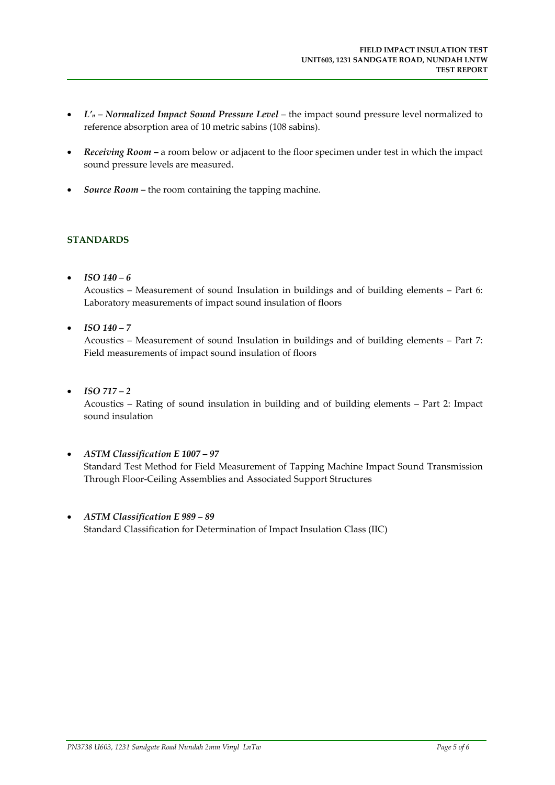- *L'n – Normalized Impact Sound Pressure Level* the impact sound pressure level normalized to reference absorption area of 10 metric sabins (108 sabins).
- *Receiving Room* **–** a room below or adjacent to the floor specimen under test in which the impact sound pressure levels are measured.
- *Source Room* **–** the room containing the tapping machine.

# **STANDARDS**

• *ISO*  $140 - 6$ 

Acoustics – Measurement of sound Insulation in buildings and of building elements – Part 6: Laboratory measurements of impact sound insulation of floors

*ISO 140 – 7*

Acoustics – Measurement of sound Insulation in buildings and of building elements – Part 7: Field measurements of impact sound insulation of floors

*ISO 717 – 2*

Acoustics – Rating of sound insulation in building and of building elements – Part 2: Impact sound insulation

- *ASTM Classification E 1007 – 97* Standard Test Method for Field Measurement of Tapping Machine Impact Sound Transmission Through Floor‐Ceiling Assemblies and Associated Support Structures
- *ASTM Classification E 989 – 89* Standard Classification for Determination of Impact Insulation Class (IIC)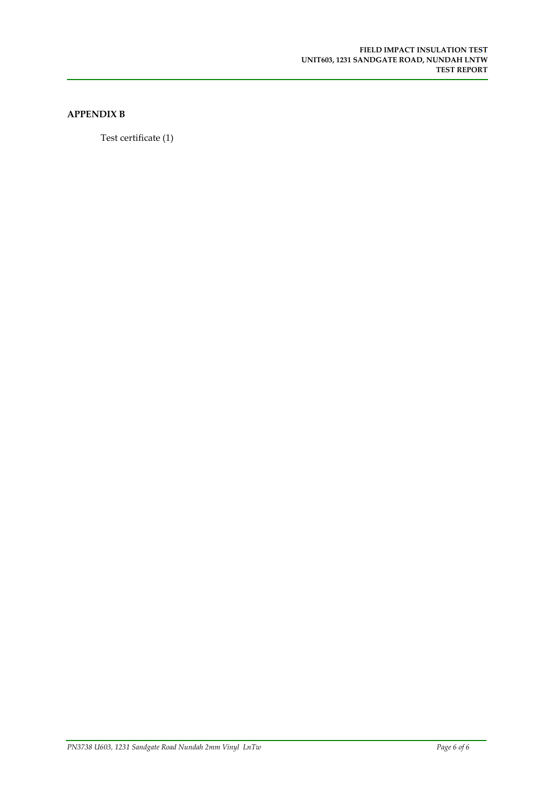# **APPENDIX B**

Test certificate (1)